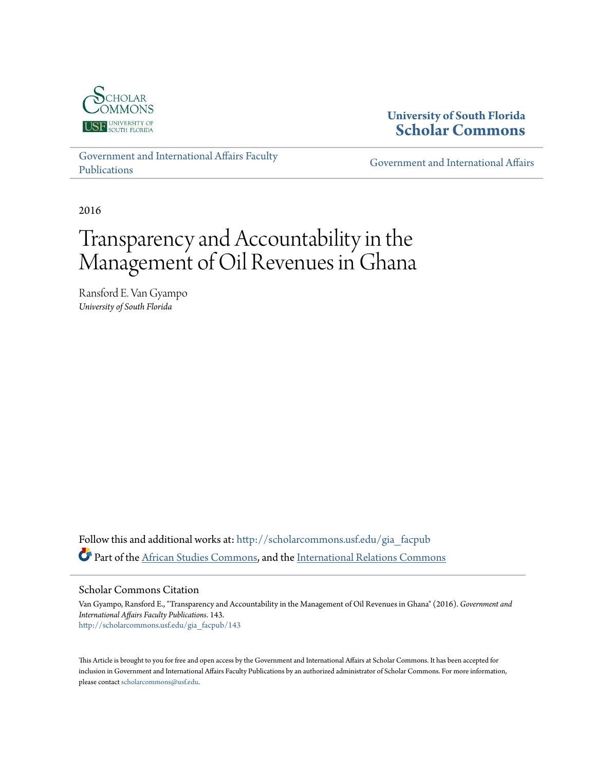

### **University of South Florida [Scholar Commons](http://scholarcommons.usf.edu?utm_source=scholarcommons.usf.edu%2Fgia_facpub%2F143&utm_medium=PDF&utm_campaign=PDFCoverPages)**

[Government and International Affairs Faculty](http://scholarcommons.usf.edu/gia_facpub?utm_source=scholarcommons.usf.edu%2Fgia_facpub%2F143&utm_medium=PDF&utm_campaign=PDFCoverPages) [Publications](http://scholarcommons.usf.edu/gia_facpub?utm_source=scholarcommons.usf.edu%2Fgia_facpub%2F143&utm_medium=PDF&utm_campaign=PDFCoverPages)

[Government and International Affairs](http://scholarcommons.usf.edu/gia?utm_source=scholarcommons.usf.edu%2Fgia_facpub%2F143&utm_medium=PDF&utm_campaign=PDFCoverPages)

2016

# Transparency and Accountability in the Management of Oil Revenues in Ghana

Ransford E. Van Gyampo *University of South Florida*

Follow this and additional works at: [http://scholarcommons.usf.edu/gia\\_facpub](http://scholarcommons.usf.edu/gia_facpub?utm_source=scholarcommons.usf.edu%2Fgia_facpub%2F143&utm_medium=PDF&utm_campaign=PDFCoverPages) Part of the [African Studies Commons](http://network.bepress.com/hgg/discipline/1043?utm_source=scholarcommons.usf.edu%2Fgia_facpub%2F143&utm_medium=PDF&utm_campaign=PDFCoverPages), and the [International Relations Commons](http://network.bepress.com/hgg/discipline/389?utm_source=scholarcommons.usf.edu%2Fgia_facpub%2F143&utm_medium=PDF&utm_campaign=PDFCoverPages)

Scholar Commons Citation

Van Gyampo, Ransford E., "Transparency and Accountability in the Management of Oil Revenues in Ghana" (2016). *Government and International Affairs Faculty Publications*. 143. [http://scholarcommons.usf.edu/gia\\_facpub/143](http://scholarcommons.usf.edu/gia_facpub/143?utm_source=scholarcommons.usf.edu%2Fgia_facpub%2F143&utm_medium=PDF&utm_campaign=PDFCoverPages)

This Article is brought to you for free and open access by the Government and International Affairs at Scholar Commons. It has been accepted for inclusion in Government and International Affairs Faculty Publications by an authorized administrator of Scholar Commons. For more information, please contact [scholarcommons@usf.edu.](mailto:scholarcommons@usf.edu)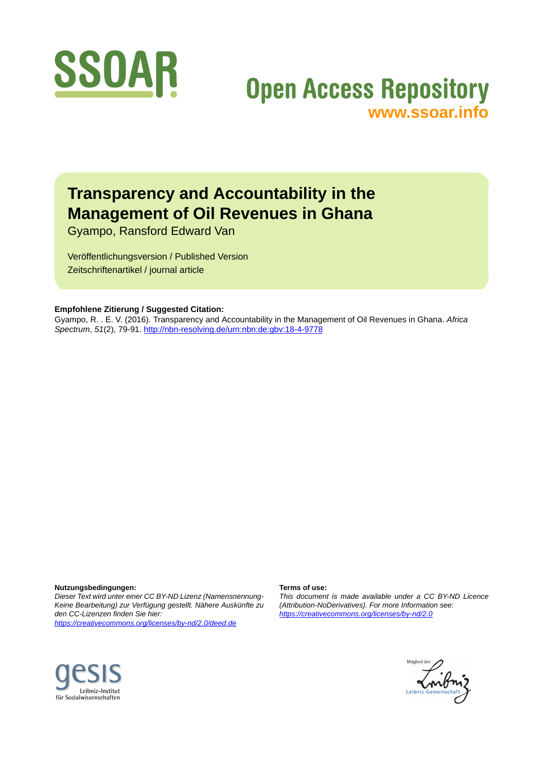

# **Open Access Repository [www.ssoar.info](http://www.ssoar.info)**

## **Transparency and Accountability in the Management of Oil Revenues in Ghana**

Gyampo, Ransford Edward Van

Veröffentlichungsversion / Published Version Zeitschriftenartikel / journal article

#### **Empfohlene Zitierung / Suggested Citation:**

Gyampo, R. . E. V. (2016). Transparency and Accountability in the Management of Oil Revenues in Ghana. *Africa Spectrum*, *51*(2), 79-91. <http://nbn-resolving.de/urn:nbn:de:gbv:18-4-9778>

**Nutzungsbedingungen:**

*Dieser Text wird unter einer CC BY-ND Lizenz (Namensnennung-Keine Bearbeitung) zur Verfügung gestellt. Nähere Auskünfte zu den CC-Lizenzen finden Sie hier: <https://creativecommons.org/licenses/by-nd/2.0/deed.de>*

#### **Terms of use:**

*This document is made available under a CC BY-ND Licence (Attribution-NoDerivatives). For more Information see: <https://creativecommons.org/licenses/by-nd/2.0>*



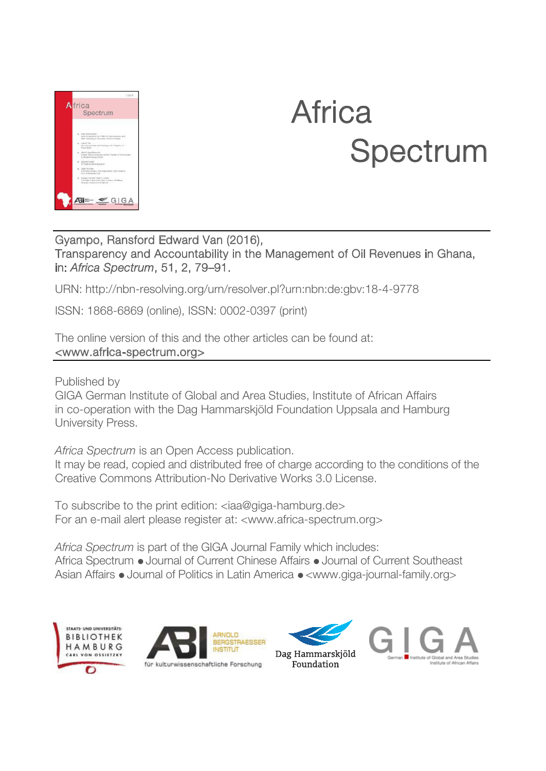

# **Africa** Spectrum

#### Gyampo, Ransford Edward Van (2016), Transparency and Accountability in the Management of Oil Revenues in Ghana, in: *Africa Spectrum*, 51, 2, 79–91.

URN: http://nbn-resolving.org/urn/resolver.pl?urn:nbn:de:gbv:18-4-9778

ISSN: 1868-6869 (online), ISSN: 0002-0397 (print)

The online version of this and the other articles can be found at:

#### <www.africa-spectrum.org>

Published by

GIGA German Institute of Global and Area Studies, Institute of African Affairs in co-operation with the Dag Hammarskjöld Foundation Uppsala and Hamburg University Press.

*Africa Spectrum* is an Open Access publication. It may be read, copied and distributed free of charge according to the conditions of the Creative Commons Attribution-No Derivative Works 3.0 License.

To subscribe to the print edition: <iaa@giga-hamburg.de> For an e-mail alert please register at: <www.africa-spectrum.org>

*Africa Spectrum* is part of the GIGA Journal Family which includes: Africa Spectrum • Journal of Current Chinese Affairs • Journal of Current Southeast Asian Affairs • Journal of Politics in Latin America • <www.giga-journal-family.org>







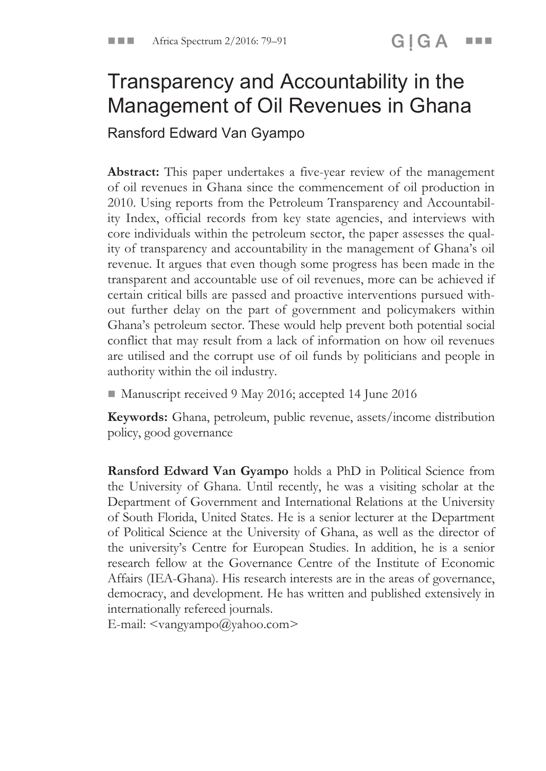## Transparency and Accountability in the Management of Oil Revenues in Ghana

Ransford Edward Van Gyampo

**Abstract:** This paper undertakes a five-year review of the management of oil revenues in Ghana since the commencement of oil production in 2010. Using reports from the Petroleum Transparency and Accountability Index, official records from key state agencies, and interviews with core individuals within the petroleum sector, the paper assesses the quality of transparency and accountability in the management of Ghana's oil revenue. It argues that even though some progress has been made in the transparent and accountable use of oil revenues, more can be achieved if certain critical bills are passed and proactive interventions pursued without further delay on the part of government and policymakers within Ghana's petroleum sector. These would help prevent both potential social conflict that may result from a lack of information on how oil revenues are utilised and the corrupt use of oil funds by politicians and people in authority within the oil industry.

■ Manuscript received 9 May 2016; accepted 14 June 2016

**Keywords:** Ghana, petroleum, public revenue, assets/income distribution policy, good governance

**Ransford Edward Van Gyampo** holds a PhD in Political Science from the University of Ghana. Until recently, he was a visiting scholar at the Department of Government and International Relations at the University of South Florida, United States. He is a senior lecturer at the Department of Political Science at the University of Ghana, as well as the director of the university's Centre for European Studies. In addition, he is a senior research fellow at the Governance Centre of the Institute of Economic Affairs (IEA-Ghana). His research interests are in the areas of governance, democracy, and development. He has written and published extensively in internationally refereed journals.

E-mail: <vangyampo@yahoo.com>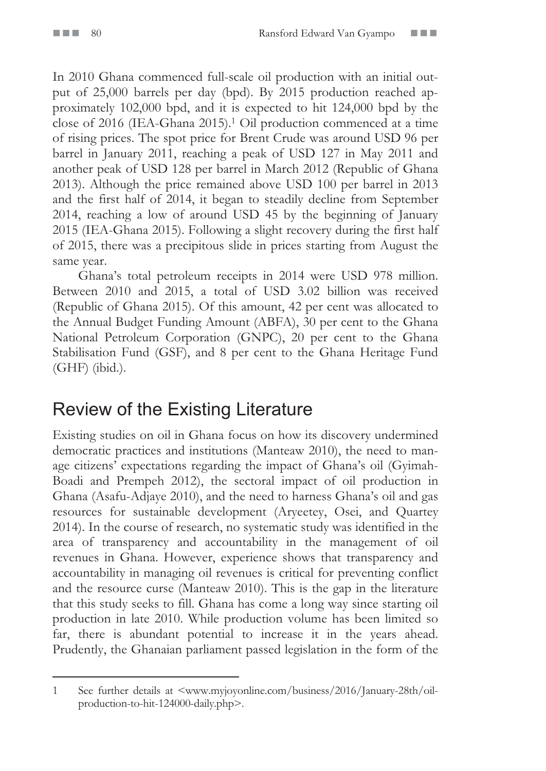In 2010 Ghana commenced full-scale oil production with an initial output of 25,000 barrels per day (bpd). By 2015 production reached approximately 102,000 bpd, and it is expected to hit 124,000 bpd by the close of 2016 (IEA-Ghana 2015).1 Oil production commenced at a time of rising prices. The spot price for Brent Crude was around USD 96 per barrel in January 2011, reaching a peak of USD 127 in May 2011 and another peak of USD 128 per barrel in March 2012 (Republic of Ghana 2013). Although the price remained above USD 100 per barrel in 2013 and the first half of 2014, it began to steadily decline from September 2014, reaching a low of around USD 45 by the beginning of January 2015 (IEA-Ghana 2015). Following a slight recovery during the first half of 2015, there was a precipitous slide in prices starting from August the same year.

Ghana's total petroleum receipts in 2014 were USD 978 million. Between 2010 and 2015, a total of USD 3.02 billion was received (Republic of Ghana 2015). Of this amount, 42 per cent was allocated to the Annual Budget Funding Amount (ABFA), 30 per cent to the Ghana National Petroleum Corporation (GNPC), 20 per cent to the Ghana Stabilisation Fund (GSF), and 8 per cent to the Ghana Heritage Fund (GHF) (ibid.).

## Review of the Existing Literature

Existing studies on oil in Ghana focus on how its discovery undermined democratic practices and institutions (Manteaw 2010), the need to manage citizens' expectations regarding the impact of Ghana's oil (Gyimah-Boadi and Prempeh 2012), the sectoral impact of oil production in Ghana (Asafu-Adjaye 2010), and the need to harness Ghana's oil and gas resources for sustainable development (Aryeetey, Osei, and Quartey 2014). In the course of research, no systematic study was identified in the area of transparency and accountability in the management of oil revenues in Ghana. However, experience shows that transparency and accountability in managing oil revenues is critical for preventing conflict and the resource curse (Manteaw 2010). This is the gap in the literature that this study seeks to fill. Ghana has come a long way since starting oil production in late 2010. While production volume has been limited so far, there is abundant potential to increase it in the years ahead. Prudently, the Ghanaian parliament passed legislation in the form of the

<sup>1</sup> See further details at <www.myjoyonline.com/business/2016/January-28th/oilproduction-to-hit-124000-daily.php>.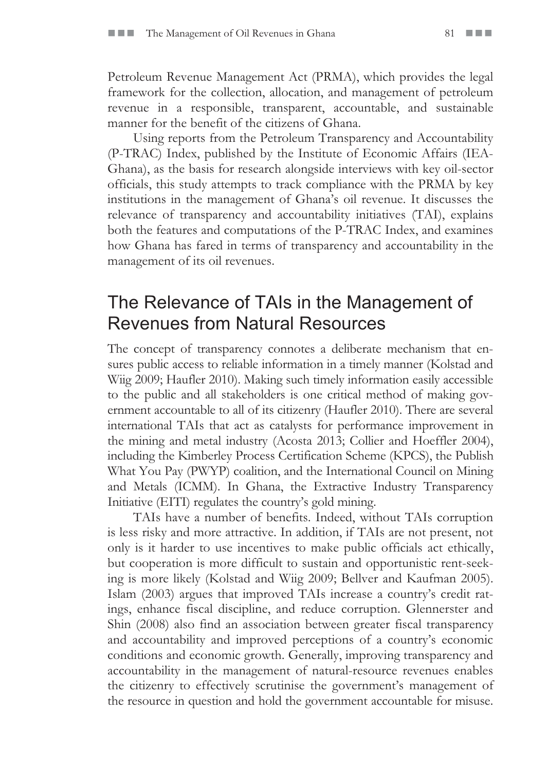--

Petroleum Revenue Management Act (PRMA), which provides the legal framework for the collection, allocation, and management of petroleum revenue in a responsible, transparent, accountable, and sustainable manner for the benefit of the citizens of Ghana.

Using reports from the Petroleum Transparency and Accountability (P-TRAC) Index, published by the Institute of Economic Affairs (IEA-Ghana), as the basis for research alongside interviews with key oil-sector officials, this study attempts to track compliance with the PRMA by key institutions in the management of Ghana's oil revenue. It discusses the relevance of transparency and accountability initiatives (TAI), explains both the features and computations of the P-TRAC Index, and examines how Ghana has fared in terms of transparency and accountability in the management of its oil revenues.

### The Relevance of TAIs in the Management of Revenues from Natural Resources

The concept of transparency connotes a deliberate mechanism that ensures public access to reliable information in a timely manner (Kolstad and Wiig 2009; Haufler 2010). Making such timely information easily accessible to the public and all stakeholders is one critical method of making government accountable to all of its citizenry (Haufler 2010). There are several international TAIs that act as catalysts for performance improvement in the mining and metal industry (Acosta 2013; Collier and Hoeffler 2004), including the Kimberley Process Certification Scheme (KPCS), the Publish What You Pay (PWYP) coalition, and the International Council on Mining and Metals (ICMM). In Ghana, the Extractive Industry Transparency Initiative (EITI) regulates the country's gold mining.

TAIs have a number of benefits. Indeed, without TAIs corruption is less risky and more attractive. In addition, if TAIs are not present, not only is it harder to use incentives to make public officials act ethically, but cooperation is more difficult to sustain and opportunistic rent-seeking is more likely (Kolstad and Wiig 2009; Bellver and Kaufman 2005). Islam (2003) argues that improved TAIs increase a country's credit ratings, enhance fiscal discipline, and reduce corruption. Glennerster and Shin (2008) also find an association between greater fiscal transparency and accountability and improved perceptions of a country's economic conditions and economic growth. Generally, improving transparency and accountability in the management of natural-resource revenues enables the citizenry to effectively scrutinise the government's management of the resource in question and hold the government accountable for misuse.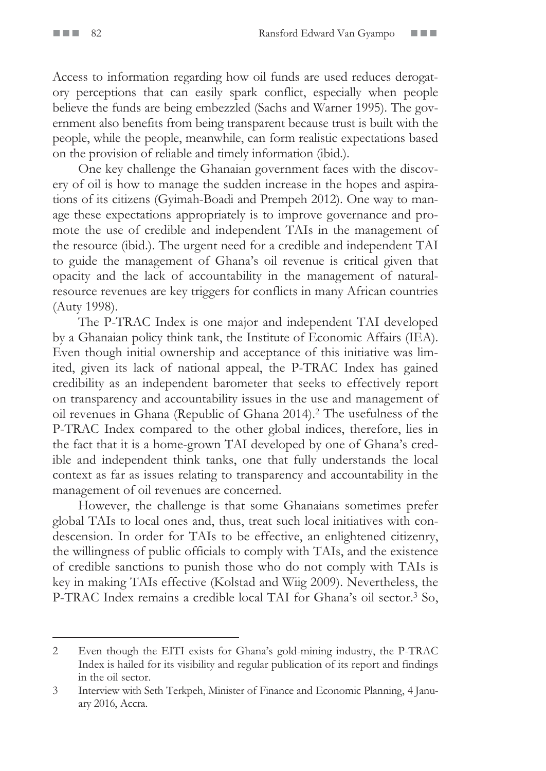Access to information regarding how oil funds are used reduces derogatory perceptions that can easily spark conflict, especially when people believe the funds are being embezzled (Sachs and Warner 1995). The government also benefits from being transparent because trust is built with the people, while the people, meanwhile, can form realistic expectations based on the provision of reliable and timely information (ibid.).

One key challenge the Ghanaian government faces with the discovery of oil is how to manage the sudden increase in the hopes and aspirations of its citizens (Gyimah-Boadi and Prempeh 2012). One way to manage these expectations appropriately is to improve governance and promote the use of credible and independent TAIs in the management of the resource (ibid.). The urgent need for a credible and independent TAI to guide the management of Ghana's oil revenue is critical given that opacity and the lack of accountability in the management of naturalresource revenues are key triggers for conflicts in many African countries (Auty 1998).

The P-TRAC Index is one major and independent TAI developed by a Ghanaian policy think tank, the Institute of Economic Affairs (IEA). Even though initial ownership and acceptance of this initiative was limited, given its lack of national appeal, the P-TRAC Index has gained credibility as an independent barometer that seeks to effectively report on transparency and accountability issues in the use and management of oil revenues in Ghana (Republic of Ghana 2014).2 The usefulness of the P-TRAC Index compared to the other global indices, therefore, lies in the fact that it is a home-grown TAI developed by one of Ghana's credible and independent think tanks, one that fully understands the local context as far as issues relating to transparency and accountability in the management of oil revenues are concerned.

However, the challenge is that some Ghanaians sometimes prefer global TAIs to local ones and, thus, treat such local initiatives with condescension. In order for TAIs to be effective, an enlightened citizenry, the willingness of public officials to comply with TAIs, and the existence of credible sanctions to punish those who do not comply with TAIs is key in making TAIs effective (Kolstad and Wiig 2009). Nevertheless, the P-TRAC Index remains a credible local TAI for Ghana's oil sector.3 So,

<sup>2</sup> Even though the EITI exists for Ghana's gold-mining industry, the P-TRAC Index is hailed for its visibility and regular publication of its report and findings in the oil sector.

<sup>3</sup> Interview with Seth Terkpeh, Minister of Finance and Economic Planning, 4 January 2016, Accra.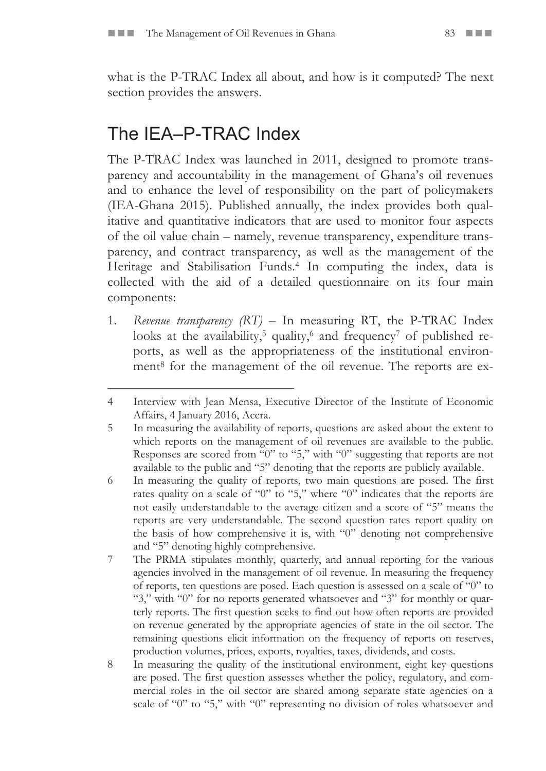what is the P-TRAC Index all about, and how is it computed? The next section provides the answers.

## The IEA–P-TRAC Index

The P-TRAC Index was launched in 2011, designed to promote transparency and accountability in the management of Ghana's oil revenues and to enhance the level of responsibility on the part of policymakers (IEA-Ghana 2015). Published annually, the index provides both qualitative and quantitative indicators that are used to monitor four aspects of the oil value chain – namely, revenue transparency, expenditure transparency, and contract transparency, as well as the management of the Heritage and Stabilisation Funds.4 In computing the index, data is collected with the aid of a detailed questionnaire on its four main components:

1. *Revenue transparency (RT)* – In measuring RT, the P-TRAC Index looks at the availability,<sup>5</sup> quality,<sup>6</sup> and frequency<sup>7</sup> of published reports, as well as the appropriateness of the institutional environment8 for the management of the oil revenue. The reports are ex-

<sup>4</sup> Interview with Jean Mensa, Executive Director of the Institute of Economic Affairs, 4 January 2016, Accra.

<sup>5</sup> In measuring the availability of reports, questions are asked about the extent to which reports on the management of oil revenues are available to the public. Responses are scored from "0" to "5," with "0" suggesting that reports are not available to the public and "5" denoting that the reports are publicly available.

<sup>6</sup> In measuring the quality of reports, two main questions are posed. The first rates quality on a scale of "0" to "5," where "0" indicates that the reports are not easily understandable to the average citizen and a score of "5" means the reports are very understandable. The second question rates report quality on the basis of how comprehensive it is, with "0" denoting not comprehensive and "5" denoting highly comprehensive.

<sup>7</sup> The PRMA stipulates monthly, quarterly, and annual reporting for the various agencies involved in the management of oil revenue. In measuring the frequency of reports, ten questions are posed. Each question is assessed on a scale of "0" to "3," with "0" for no reports generated whatsoever and "3" for monthly or quarterly reports. The first question seeks to find out how often reports are provided on revenue generated by the appropriate agencies of state in the oil sector. The remaining questions elicit information on the frequency of reports on reserves, production volumes, prices, exports, royalties, taxes, dividends, and costs.

<sup>8</sup> In measuring the quality of the institutional environment, eight key questions are posed. The first question assesses whether the policy, regulatory, and commercial roles in the oil sector are shared among separate state agencies on a scale of "0" to "5," with "0" representing no division of roles whatsoever and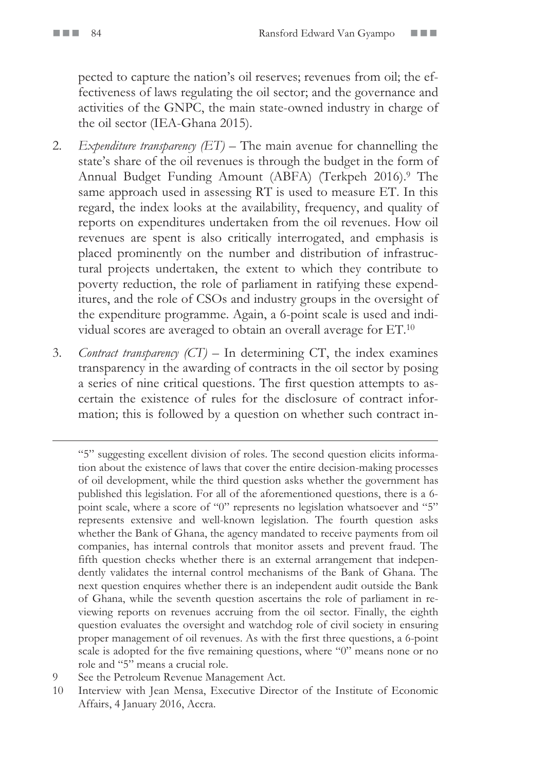$\overline{a}$ 

pected to capture the nation's oil reserves; revenues from oil; the effectiveness of laws regulating the oil sector; and the governance and activities of the GNPC, the main state-owned industry in charge of the oil sector (IEA-Ghana 2015).

- 2. *Expenditure transparency (ET)* The main avenue for channelling the state's share of the oil revenues is through the budget in the form of Annual Budget Funding Amount (ABFA) (Terkpeh 2016).<sup>9</sup> The same approach used in assessing RT is used to measure ET. In this regard, the index looks at the availability, frequency, and quality of reports on expenditures undertaken from the oil revenues. How oil revenues are spent is also critically interrogated, and emphasis is placed prominently on the number and distribution of infrastructural projects undertaken, the extent to which they contribute to poverty reduction, the role of parliament in ratifying these expenditures, and the role of CSOs and industry groups in the oversight of the expenditure programme. Again, a 6-point scale is used and individual scores are averaged to obtain an overall average for ET.10
- 3. *Contract transparency (CT)* In determining CT, the index examines transparency in the awarding of contracts in the oil sector by posing a series of nine critical questions. The first question attempts to ascertain the existence of rules for the disclosure of contract information; this is followed by a question on whether such contract in-

9 See the Petroleum Revenue Management Act.

<sup>&</sup>quot;5" suggesting excellent division of roles. The second question elicits information about the existence of laws that cover the entire decision-making processes of oil development, while the third question asks whether the government has published this legislation. For all of the aforementioned questions, there is a 6 point scale, where a score of "0" represents no legislation whatsoever and "5" represents extensive and well-known legislation. The fourth question asks whether the Bank of Ghana, the agency mandated to receive payments from oil companies, has internal controls that monitor assets and prevent fraud. The fifth question checks whether there is an external arrangement that independently validates the internal control mechanisms of the Bank of Ghana. The next question enquires whether there is an independent audit outside the Bank of Ghana, while the seventh question ascertains the role of parliament in reviewing reports on revenues accruing from the oil sector. Finally, the eighth question evaluates the oversight and watchdog role of civil society in ensuring proper management of oil revenues. As with the first three questions, a 6-point scale is adopted for the five remaining questions, where "0" means none or no role and "5" means a crucial role.

<sup>10</sup> Interview with Jean Mensa, Executive Director of the Institute of Economic Affairs, 4 January 2016, Accra.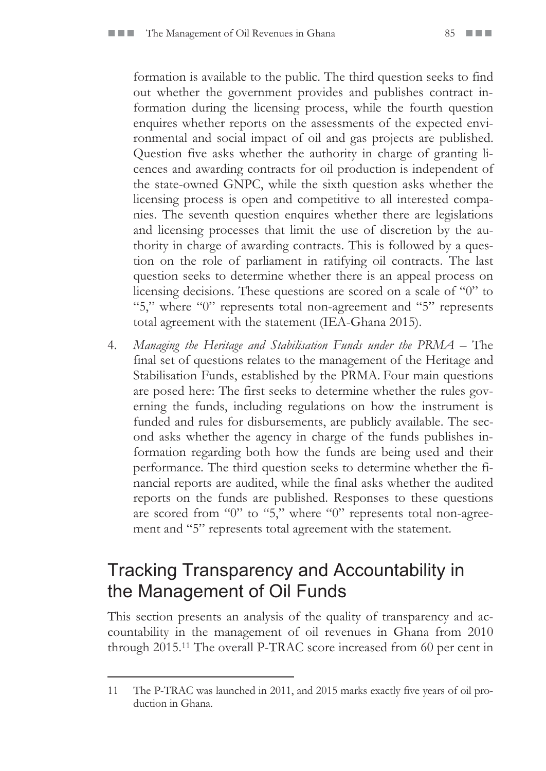formation is available to the public. The third question seeks to find out whether the government provides and publishes contract information during the licensing process, while the fourth question enquires whether reports on the assessments of the expected environmental and social impact of oil and gas projects are published. Question five asks whether the authority in charge of granting licences and awarding contracts for oil production is independent of the state-owned GNPC, while the sixth question asks whether the licensing process is open and competitive to all interested companies. The seventh question enquires whether there are legislations and licensing processes that limit the use of discretion by the authority in charge of awarding contracts. This is followed by a question on the role of parliament in ratifying oil contracts. The last question seeks to determine whether there is an appeal process on licensing decisions. These questions are scored on a scale of "0" to "5," where "0" represents total non-agreement and "5" represents total agreement with the statement (IEA-Ghana 2015).

4. *Managing the Heritage and Stabilisation Funds under the PRMA* – The final set of questions relates to the management of the Heritage and Stabilisation Funds, established by the PRMA. Four main questions are posed here: The first seeks to determine whether the rules governing the funds, including regulations on how the instrument is funded and rules for disbursements, are publicly available. The second asks whether the agency in charge of the funds publishes information regarding both how the funds are being used and their performance. The third question seeks to determine whether the financial reports are audited, while the final asks whether the audited reports on the funds are published. Responses to these questions are scored from "0" to "5," where "0" represents total non-agreement and "5" represents total agreement with the statement.

## Tracking Transparency and Accountability in the Management of Oil Funds

This section presents an analysis of the quality of transparency and accountability in the management of oil revenues in Ghana from 2010 through 2015.11 The overall P-TRAC score increased from 60 per cent in

<sup>11</sup> The P-TRAC was launched in 2011, and 2015 marks exactly five years of oil production in Ghana.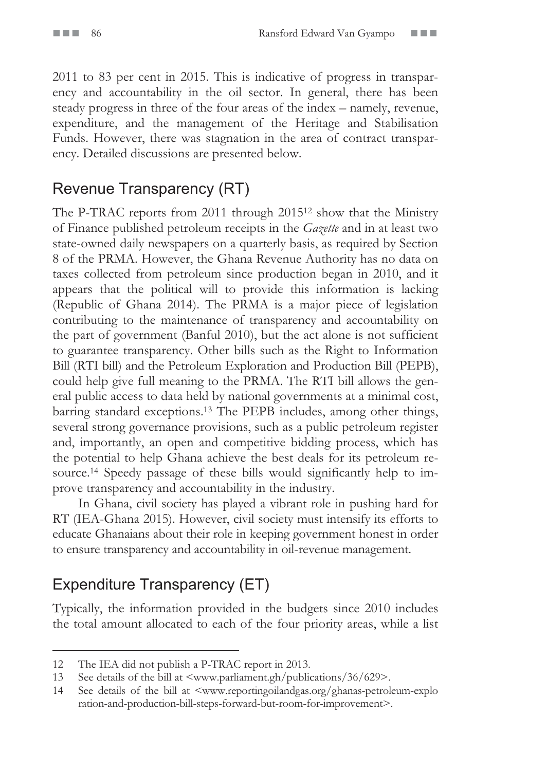2011 to 83 per cent in 2015. This is indicative of progress in transparency and accountability in the oil sector. In general, there has been steady progress in three of the four areas of the index – namely, revenue, expenditure, and the management of the Heritage and Stabilisation Funds. However, there was stagnation in the area of contract transparency. Detailed discussions are presented below.

#### Revenue Transparency (RT)

The P-TRAC reports from 2011 through 201512 show that the Ministry of Finance published petroleum receipts in the *Gazette* and in at least two state-owned daily newspapers on a quarterly basis, as required by Section 8 of the PRMA. However, the Ghana Revenue Authority has no data on taxes collected from petroleum since production began in 2010, and it appears that the political will to provide this information is lacking (Republic of Ghana 2014). The PRMA is a major piece of legislation contributing to the maintenance of transparency and accountability on the part of government (Banful 2010), but the act alone is not sufficient to guarantee transparency. Other bills such as the Right to Information Bill (RTI bill) and the Petroleum Exploration and Production Bill (PEPB), could help give full meaning to the PRMA. The RTI bill allows the general public access to data held by national governments at a minimal cost, barring standard exceptions.13 The PEPB includes, among other things, several strong governance provisions, such as a public petroleum register and, importantly, an open and competitive bidding process, which has the potential to help Ghana achieve the best deals for its petroleum resource.14 Speedy passage of these bills would significantly help to improve transparency and accountability in the industry.

In Ghana, civil society has played a vibrant role in pushing hard for RT (IEA-Ghana 2015). However, civil society must intensify its efforts to educate Ghanaians about their role in keeping government honest in order to ensure transparency and accountability in oil-revenue management.

#### Expenditure Transparency (ET)

Typically, the information provided in the budgets since 2010 includes the total amount allocated to each of the four priority areas, while a list

<sup>12</sup> The IEA did not publish a P-TRAC report in 2013.

<sup>13</sup> See details of the bill at <www.parliament.gh/publications/36/629>.

<sup>14</sup> See details of the bill at <www.reportingoilandgas.org/ghanas-petroleum-explo ration-and-production-bill-steps-forward-but-room-for-improvement>.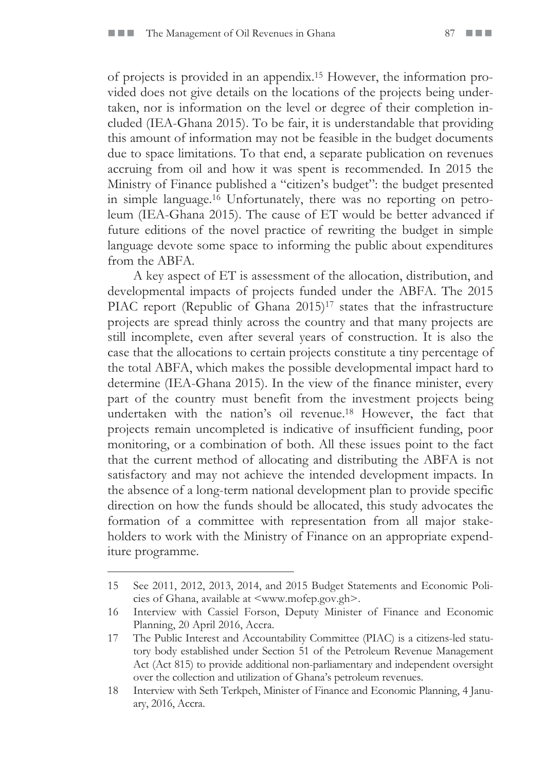of projects is provided in an appendix.15 However, the information provided does not give details on the locations of the projects being undertaken, nor is information on the level or degree of their completion included (IEA-Ghana 2015). To be fair, it is understandable that providing this amount of information may not be feasible in the budget documents due to space limitations. To that end, a separate publication on revenues accruing from oil and how it was spent is recommended. In 2015 the Ministry of Finance published a "citizen's budget": the budget presented in simple language.16 Unfortunately, there was no reporting on petroleum (IEA-Ghana 2015). The cause of ET would be better advanced if future editions of the novel practice of rewriting the budget in simple language devote some space to informing the public about expenditures from the ABFA.

A key aspect of ET is assessment of the allocation, distribution, and developmental impacts of projects funded under the ABFA. The 2015 PIAC report (Republic of Ghana 2015)<sup>17</sup> states that the infrastructure projects are spread thinly across the country and that many projects are still incomplete, even after several years of construction. It is also the case that the allocations to certain projects constitute a tiny percentage of the total ABFA, which makes the possible developmental impact hard to determine (IEA-Ghana 2015). In the view of the finance minister, every part of the country must benefit from the investment projects being undertaken with the nation's oil revenue.18 However, the fact that projects remain uncompleted is indicative of insufficient funding, poor monitoring, or a combination of both. All these issues point to the fact that the current method of allocating and distributing the ABFA is not satisfactory and may not achieve the intended development impacts. In the absence of a long-term national development plan to provide specific direction on how the funds should be allocated, this study advocates the formation of a committee with representation from all major stakeholders to work with the Ministry of Finance on an appropriate expenditure programme.

<sup>15</sup> See 2011, 2012, 2013, 2014, and 2015 Budget Statements and Economic Policies of Ghana, available at <www.mofep.gov.gh>.

<sup>16</sup> Interview with Cassiel Forson, Deputy Minister of Finance and Economic Planning, 20 April 2016, Accra.

<sup>17</sup> The Public Interest and Accountability Committee (PIAC) is a citizens-led statutory body established under Section 51 of the Petroleum Revenue Management Act (Act 815) to provide additional non-parliamentary and independent oversight over the collection and utilization of Ghana's petroleum revenues.

<sup>18</sup> Interview with Seth Terkpeh, Minister of Finance and Economic Planning, 4 January, 2016, Accra.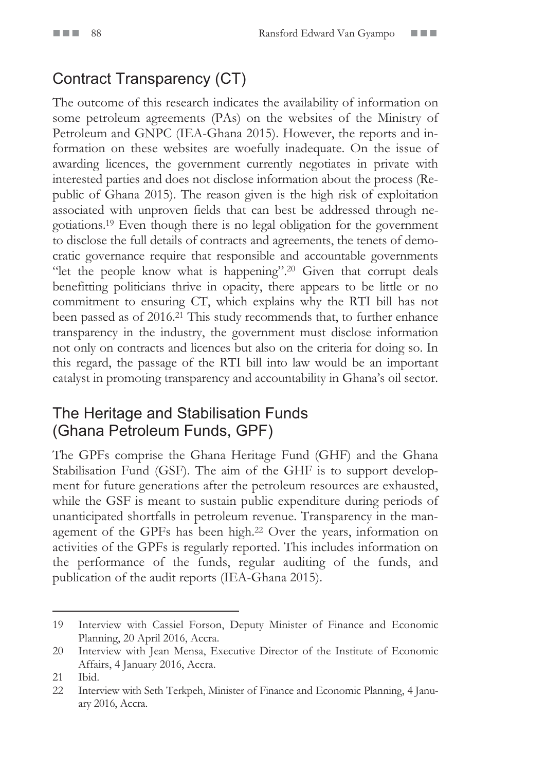#### Contract Transparency (CT)

The outcome of this research indicates the availability of information on some petroleum agreements (PAs) on the websites of the Ministry of Petroleum and GNPC (IEA-Ghana 2015). However, the reports and information on these websites are woefully inadequate. On the issue of awarding licences, the government currently negotiates in private with interested parties and does not disclose information about the process (Republic of Ghana 2015). The reason given is the high risk of exploitation associated with unproven fields that can best be addressed through negotiations.19 Even though there is no legal obligation for the government to disclose the full details of contracts and agreements, the tenets of democratic governance require that responsible and accountable governments "let the people know what is happening".20 Given that corrupt deals benefitting politicians thrive in opacity, there appears to be little or no commitment to ensuring CT, which explains why the RTI bill has not been passed as of 2016.21 This study recommends that, to further enhance transparency in the industry, the government must disclose information not only on contracts and licences but also on the criteria for doing so. In this regard, the passage of the RTI bill into law would be an important catalyst in promoting transparency and accountability in Ghana's oil sector.

#### The Heritage and Stabilisation Funds (Ghana Petroleum Funds, GPF)

The GPFs comprise the Ghana Heritage Fund (GHF) and the Ghana Stabilisation Fund (GSF). The aim of the GHF is to support development for future generations after the petroleum resources are exhausted, while the GSF is meant to sustain public expenditure during periods of unanticipated shortfalls in petroleum revenue. Transparency in the management of the GPFs has been high.22 Over the years, information on activities of the GPFs is regularly reported. This includes information on the performance of the funds, regular auditing of the funds, and publication of the audit reports (IEA-Ghana 2015).

<sup>19</sup> Interview with Cassiel Forson, Deputy Minister of Finance and Economic Planning, 20 April 2016, Accra.

<sup>20</sup> Interview with Jean Mensa, Executive Director of the Institute of Economic Affairs, 4 January 2016, Accra.

<sup>21</sup> Ibid.

<sup>22</sup> Interview with Seth Terkpeh, Minister of Finance and Economic Planning, 4 January 2016, Accra.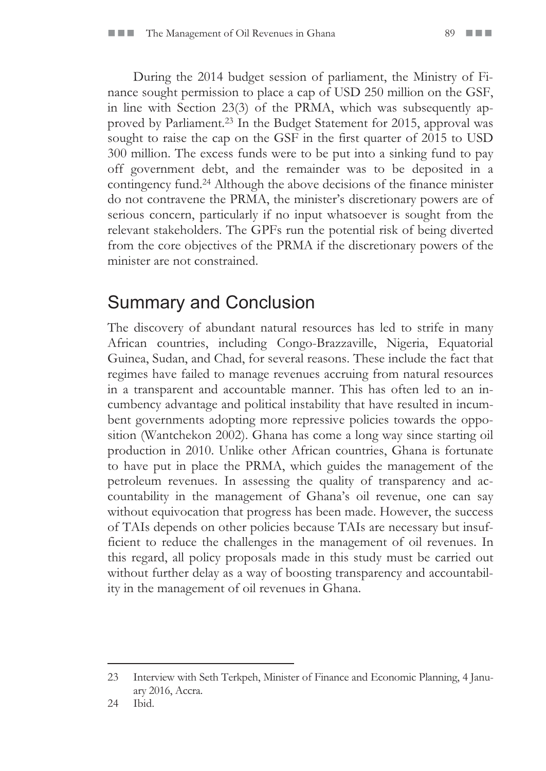--

During the 2014 budget session of parliament, the Ministry of Finance sought permission to place a cap of USD 250 million on the GSF, in line with Section 23(3) of the PRMA, which was subsequently approved by Parliament.23 In the Budget Statement for 2015, approval was sought to raise the cap on the GSF in the first quarter of 2015 to USD 300 million. The excess funds were to be put into a sinking fund to pay off government debt, and the remainder was to be deposited in a contingency fund.24 Although the above decisions of the finance minister do not contravene the PRMA, the minister's discretionary powers are of serious concern, particularly if no input whatsoever is sought from the relevant stakeholders. The GPFs run the potential risk of being diverted from the core objectives of the PRMA if the discretionary powers of the minister are not constrained.

## Summary and Conclusion

The discovery of abundant natural resources has led to strife in many African countries, including Congo-Brazzaville, Nigeria, Equatorial Guinea, Sudan, and Chad, for several reasons. These include the fact that regimes have failed to manage revenues accruing from natural resources in a transparent and accountable manner. This has often led to an incumbency advantage and political instability that have resulted in incumbent governments adopting more repressive policies towards the opposition (Wantchekon 2002). Ghana has come a long way since starting oil production in 2010. Unlike other African countries, Ghana is fortunate to have put in place the PRMA, which guides the management of the petroleum revenues. In assessing the quality of transparency and accountability in the management of Ghana's oil revenue, one can say without equivocation that progress has been made. However, the success of TAIs depends on other policies because TAIs are necessary but insufficient to reduce the challenges in the management of oil revenues. In this regard, all policy proposals made in this study must be carried out without further delay as a way of boosting transparency and accountability in the management of oil revenues in Ghana.

<sup>23</sup> Interview with Seth Terkpeh, Minister of Finance and Economic Planning, 4 January 2016, Accra.

<sup>24</sup> Ibid.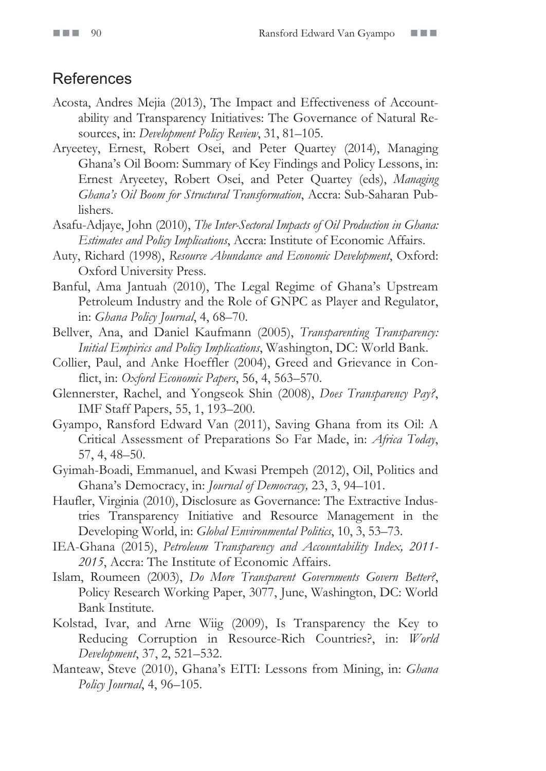#### References

- Acosta, Andres Mejia (2013), The Impact and Effectiveness of Accountability and Transparency Initiatives: The Governance of Natural Resources, in: *Development Policy Review*, 31, 81–105.
- Aryeetey, Ernest, Robert Osei, and Peter Quartey (2014), Managing Ghana's Oil Boom: Summary of Key Findings and Policy Lessons, in: Ernest Aryeetey, Robert Osei, and Peter Quartey (eds), *Managing Ghana's Oil Boom for Structural Transformation*, Accra: Sub-Saharan Publishers.
- Asafu-Adjaye, John (2010), *The Inter-Sectoral Impacts of Oil Production in Ghana: Estimates and Policy Implications*, Accra: Institute of Economic Affairs.
- Auty, Richard (1998), *Resource Abundance and Economic Development*, Oxford: Oxford University Press.
- Banful, Ama Jantuah (2010), The Legal Regime of Ghana's Upstream Petroleum Industry and the Role of GNPC as Player and Regulator, in: *Ghana Policy Journal*, 4, 68–70.
- Bellver, Ana, and Daniel Kaufmann (2005), *Transparenting Transparency: Initial Empirics and Policy Implications*, Washington, DC: World Bank.
- Collier, Paul, and Anke Hoeffler (2004), Greed and Grievance in Conflict, in: *Oxford Economic Papers*, 56, 4, 563–570.
- Glennerster, Rachel, and Yongseok Shin (2008), *Does Transparency Pay?*, IMF Staff Papers, 55, 1, 193–200.
- Gyampo, Ransford Edward Van (2011), Saving Ghana from its Oil: A Critical Assessment of Preparations So Far Made, in: *Africa Today*, 57, 4, 48–50.
- Gyimah-Boadi, Emmanuel, and Kwasi Prempeh (2012), Oil, Politics and Ghana's Democracy, in: *Journal of Democracy,* 23, 3, 94–101.
- Haufler, Virginia (2010), Disclosure as Governance: The Extractive Industries Transparency Initiative and Resource Management in the Developing World, in: *Global Environmental Politics*, 10, 3, 53–73.
- IEA-Ghana (2015), *Petroleum Transparency and Accountability Index, 2011- 2015*, Accra: The Institute of Economic Affairs.
- Islam, Roumeen (2003), *Do More Transparent Governments Govern Better?*, Policy Research Working Paper, 3077, June, Washington, DC: World Bank Institute.
- Kolstad, Ivar, and Arne Wiig (2009), Is Transparency the Key to Reducing Corruption in Resource-Rich Countries?, in: *World Development*, 37, 2, 521–532.
- Manteaw, Steve (2010), Ghana's EITI: Lessons from Mining, in: *Ghana Policy Journal*, 4, 96–105.